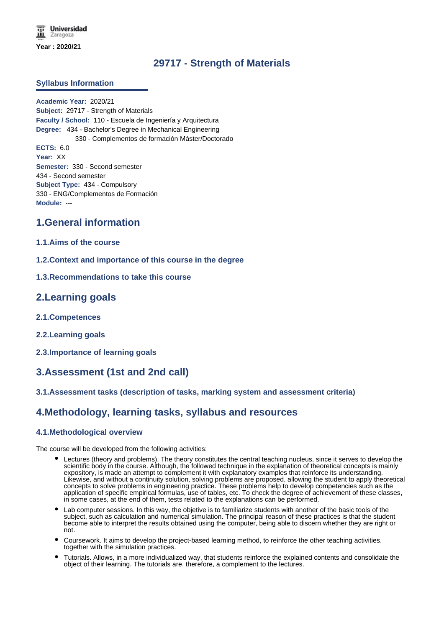# **29717 - Strength of Materials**

### **Syllabus Information**

**Academic Year:** 2020/21 **Subject:** 29717 - Strength of Materials **Faculty / School:** 110 - Escuela de Ingeniería y Arquitectura **Degree:** 434 - Bachelor's Degree in Mechanical Engineering 330 - Complementos de formación Máster/Doctorado **ECTS:** 6.0 **Year:** XX **Semester:** 330 - Second semester 434 - Second semester **Subject Type:** 434 - Compulsory 330 - ENG/Complementos de Formación **Module:** ---

## **1.General information**

#### **1.1.Aims of the course**

- **1.2.Context and importance of this course in the degree**
- **1.3.Recommendations to take this course**

## **2.Learning goals**

- **2.1.Competences**
- **2.2.Learning goals**
- **2.3.Importance of learning goals**

## **3.Assessment (1st and 2nd call)**

### **3.1.Assessment tasks (description of tasks, marking system and assessment criteria)**

## **4.Methodology, learning tasks, syllabus and resources**

### **4.1.Methodological overview**

The course will be developed from the following activities:

- Lectures (theory and problems). The theory constitutes the central teaching nucleus, since it serves to develop the scientific body in the course. Although, the followed technique in the explanation of theoretical concepts is mainly expository, is made an attempt to complement it with explanatory examples that reinforce its understanding. Likewise, and without a continuity solution, solving problems are proposed, allowing the student to apply theoretical concepts to solve problems in engineering practice. These problems help to develop competencies such as the application of specific empirical formulas, use of tables, etc. To check the degree of achievement of these classes, in some cases, at the end of them, tests related to the explanations can be performed.
- Lab computer sessions. In this way, the objetive is to familiarize students with another of the basic tools of the subject, such as calculation and numerical simulation. The principal reason of these practices is that the student become able to interpret the results obtained using the computer, being able to discern whether they are right or not.
- Coursework. It aims to develop the project-based learning method, to reinforce the other teaching activities, together with the simulation practices.
- Tutorials. Allows, in a more individualized way, that students reinforce the explained contents and consolidate the object of their learning. The tutorials are, therefore, a complement to the lectures.